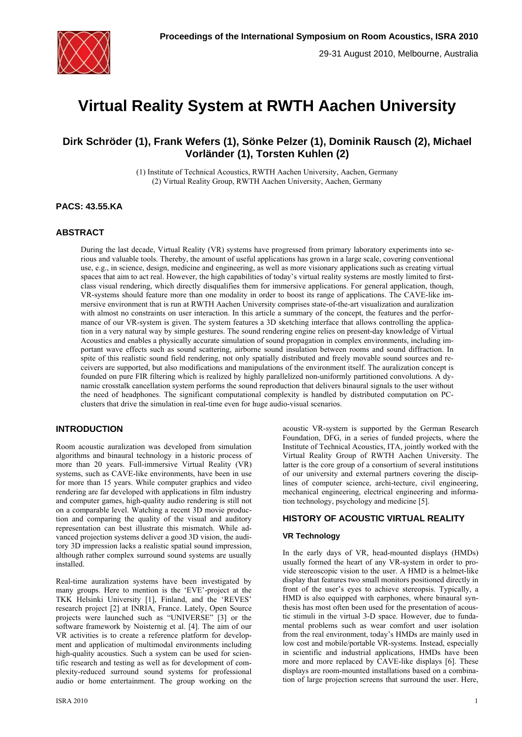

29-31 August 2010, Melbourne, Australia

# **Virtual Reality System at RWTH Aachen University**

## **Dirk Schröder (1), Frank Wefers (1), Sönke Pelzer (1), Dominik Rausch (2), Michael Vorländer (1), Torsten Kuhlen (2)**

(1) Institute of Technical Acoustics, RWTH Aachen University, Aachen, Germany (2) Virtual Reality Group, RWTH Aachen University, Aachen, Germany

## **PACS: 43.55.KA**

## **ABSTRACT**

During the last decade, Virtual Reality (VR) systems have progressed from primary laboratory experiments into serious and valuable tools. Thereby, the amount of useful applications has grown in a large scale, covering conventional use, e.g., in science, design, medicine and engineering, as well as more visionary applications such as creating virtual spaces that aim to act real. However, the high capabilities of today's virtual reality systems are mostly limited to firstclass visual rendering, which directly disqualifies them for immersive applications. For general application, though, VR-systems should feature more than one modality in order to boost its range of applications. The CAVE-like immersive environment that is run at RWTH Aachen University comprises state-of-the-art visualization and auralization with almost no constraints on user interaction. In this article a summary of the concept, the features and the performance of our VR-system is given. The system features a 3D sketching interface that allows controlling the application in a very natural way by simple gestures. The sound rendering engine relies on present-day knowledge of Virtual Acoustics and enables a physically accurate simulation of sound propagation in complex environments, including important wave effects such as sound scattering, airborne sound insulation between rooms and sound diffraction. In spite of this realistic sound field rendering, not only spatially distributed and freely movable sound sources and receivers are supported, but also modifications and manipulations of the environment itself. The auralization concept is founded on pure FIR filtering which is realized by highly parallelized non-uniformly partitioned convolutions. A dynamic crosstalk cancellation system performs the sound reproduction that delivers binaural signals to the user without the need of headphones. The significant computational complexity is handled by distributed computation on PCclusters that drive the simulation in real-time even for huge audio-visual scenarios.

## **INTRODUCTION**

Room acoustic auralization was developed from simulation algorithms and binaural technology in a historic process of more than 20 years. Full-immersive Virtual Reality (VR) systems, such as CAVE-like environments, have been in use for more than 15 years. While computer graphics and video rendering are far developed with applications in film industry and computer games, high-quality audio rendering is still not on a comparable level. Watching a recent 3D movie production and comparing the quality of the visual and auditory representation can best illustrate this mismatch. While advanced projection systems deliver a good 3D vision, the auditory 3D impression lacks a realistic spatial sound impression, although rather complex surround sound systems are usually installed.

Real-time auralization systems have been investigated by many groups. Here to mention is the 'EVE'-project at the TKK Helsinki University [1], Finland, and the 'REVES' research project [2] at INRIA, France. Lately, Open Source projects were launched such as "UNIVERSE" [3] or the software framework by Noisternig et al. [4]. The aim of our VR activities is to create a reference platform for development and application of multimodal environments including high-quality acoustics. Such a system can be used for scientific research and testing as well as for development of complexity-reduced surround sound systems for professional audio or home entertainment. The group working on the acoustic VR-system is supported by the German Research Foundation, DFG, in a series of funded projects, where the Institute of Technical Acoustics, ITA, jointly worked with the Virtual Reality Group of RWTH Aachen University. The latter is the core group of a consortium of several institutions of our university and external partners covering the disciplines of computer science, archi-tecture, civil engineering, mechanical engineering, electrical engineering and information technology, psychology and medicine [5].

## **HISTORY OF ACOUSTIC VIRTUAL REALITY**

## **VR Technology**

In the early days of VR, head-mounted displays (HMDs) usually formed the heart of any VR-system in order to provide stereoscopic vision to the user. A HMD is a helmet-like display that features two small monitors positioned directly in front of the user's eyes to achieve stereopsis. Typically, a HMD is also equipped with earphones, where binaural synthesis has most often been used for the presentation of acoustic stimuli in the virtual 3-D space. However, due to fundamental problems such as wear comfort and user isolation from the real environment, today's HMDs are mainly used in low cost and mobile/portable VR-systems. Instead, especially in scientific and industrial applications, HMDs have been more and more replaced by CAVE-like displays [6]. These displays are room-mounted installations based on a combination of large projection screens that surround the user. Here,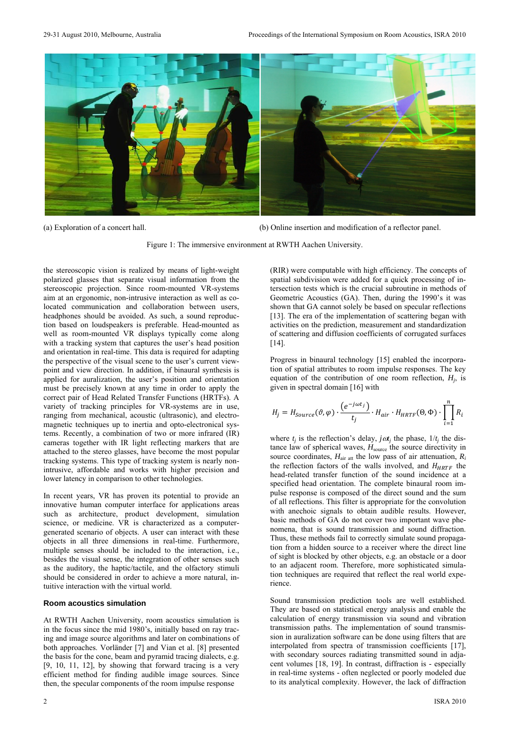

(a) Exploration of a concert hall. (b) Online insertion and modification of a reflector panel.

Figure 1: The immersive environment at RWTH Aachen University.

the stereoscopic vision is realized by means of light-weight polarized glasses that separate visual information from the stereoscopic projection. Since room-mounted VR-systems aim at an ergonomic, non-intrusive interaction as well as colocated communication and collaboration between users, headphones should be avoided. As such, a sound reproduction based on loudspeakers is preferable. Head-mounted as well as room-mounted VR displays typically come along with a tracking system that captures the user's head position and orientation in real-time. This data is required for adapting the perspective of the visual scene to the user's current viewpoint and view direction. In addition, if binaural synthesis is applied for auralization, the user's position and orientation must be precisely known at any time in order to apply the correct pair of Head Related Transfer Functions (HRTFs). A variety of tracking principles for VR-systems are in use, ranging from mechanical, acoustic (ultrasonic), and electromagnetic techniques up to inertia and opto-electronical systems. Recently, a combination of two or more infrared (IR) cameras together with IR light reflecting markers that are attached to the stereo glasses, have become the most popular tracking systems. This type of tracking system is nearly nonintrusive, affordable and works with higher precision and lower latency in comparison to other technologies.

In recent years, VR has proven its potential to provide an innovative human computer interface for applications areas such as architecture, product development, simulation science, or medicine. VR is characterized as a computergenerated scenario of objects. A user can interact with these objects in all three dimensions in real-time. Furthermore, multiple senses should be included to the interaction, i.e., besides the visual sense, the integration of other senses such as the auditory, the haptic/tactile, and the olfactory stimuli should be considered in order to achieve a more natural, intuitive interaction with the virtual world.

#### **Room acoustics simulation**

At RWTH Aachen University, room acoustics simulation is in the focus since the mid 1980's, initially based on ray tracing and image source algorithms and later on combinations of both approaches. Vorländer [7] and Vian et al. [8] presented the basis for the cone, beam and pyramid tracing dialects, e.g. [9, 10, 11, 12], by showing that forward tracing is a very efficient method for finding audible image sources. Since then, the specular components of the room impulse response

(RIR) were computable with high efficiency. The concepts of spatial subdivision were added for a quick processing of intersection tests which is the crucial subroutine in methods of Geometric Acoustics (GA). Then, during the 1990's it was shown that GA cannot solely be based on specular reflections [13]. The era of the implementation of scattering began with activities on the prediction, measurement and standardization of scattering and diffusion coefficients of corrugated surfaces [14].

Progress in binaural technology [15] enabled the incorporation of spatial attributes to room impulse responses. The key equation of the contribution of one room reflection,  $H_i$ , is given in spectral domain [16] with

$$
H_j = H_{Source}(\vartheta, \varphi) \cdot \frac{\left(e^{-j\omega t_j}\right)}{t_j} \cdot H_{air} \cdot H_{HRTF}(\theta, \Phi) \cdot \prod_{i=1}^n R_i
$$

where  $t_i$  is the reflection's delay,  $j\omega t_j$  the phase,  $1/t_j$  the distance law of spherical waves,  $H_{\text{source}}$  the source directivity in source coordinates,  $H_{\text{air att}}$  the low pass of air attenuation,  $R_i$ the reflection factors of the walls involved, and  $H_{HRTF}$  the head-related transfer function of the sound incidence at a specified head orientation. The complete binaural room impulse response is composed of the direct sound and the sum of all reflections. This filter is appropriate for the convolution with anechoic signals to obtain audible results. However, basic methods of GA do not cover two important wave phenomena, that is sound transmission and sound diffraction. Thus, these methods fail to correctly simulate sound propagation from a hidden source to a receiver where the direct line of sight is blocked by other objects, e.g. an obstacle or a door to an adjacent room. Therefore, more sophisticated simulation techniques are required that reflect the real world experience.

Sound transmission prediction tools are well established. They are based on statistical energy analysis and enable the calculation of energy transmission via sound and vibration transmission paths. The implementation of sound transmission in auralization software can be done using filters that are interpolated from spectra of transmission coefficients [17], with secondary sources radiating transmitted sound in adjacent volumes [18, 19]. In contrast, diffraction is - especially in real-time systems - often neglected or poorly modeled due to its analytical complexity. However, the lack of diffraction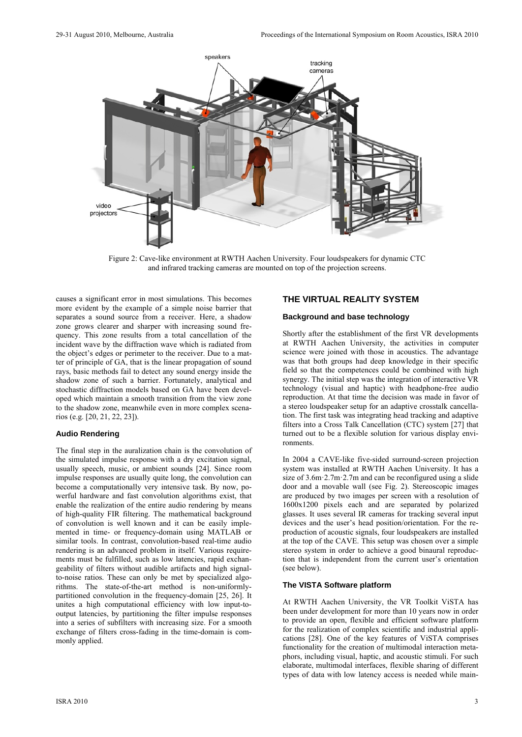

Figure 2: Cave-like environment at RWTH Aachen University. Four loudspeakers for dynamic CTC and infrared tracking cameras are mounted on top of the projection screens.

causes a significant error in most simulations. This becomes more evident by the example of a simple noise barrier that separates a sound source from a receiver. Here, a shadow zone grows clearer and sharper with increasing sound frequency. This zone results from a total cancellation of the incident wave by the diffraction wave which is radiated from the object's edges or perimeter to the receiver. Due to a matter of principle of GA, that is the linear propagation of sound rays, basic methods fail to detect any sound energy inside the shadow zone of such a barrier. Fortunately, analytical and stochastic diffraction models based on GA have been developed which maintain a smooth transition from the view zone to the shadow zone, meanwhile even in more complex scenarios (e.g. [20, 21, 22, 23]).

#### **Audio Rendering**

The final step in the auralization chain is the convolution of the simulated impulse response with a dry excitation signal, usually speech, music, or ambient sounds [24]. Since room impulse responses are usually quite long, the convolution can become a computationally very intensive task. By now, powerful hardware and fast convolution algorithms exist, that enable the realization of the entire audio rendering by means of high-quality FIR filtering. The mathematical background of convolution is well known and it can be easily implemented in time- or frequency-domain using MATLAB or similar tools. In contrast, convolution-based real-time audio rendering is an advanced problem in itself. Various requirements must be fulfilled, such as low latencies, rapid exchangeability of filters without audible artifacts and high signalto-noise ratios. These can only be met by specialized algorithms. The state-of-the-art method is non-uniformlypartitioned convolution in the frequency-domain [25, 26]. It unites a high computational efficiency with low input-tooutput latencies, by partitioning the filter impulse responses into a series of subfilters with increasing size. For a smooth exchange of filters cross-fading in the time-domain is commonly applied.

## **THE VIRTUAL REALITY SYSTEM**

#### **Background and base technology**

Shortly after the establishment of the first VR developments at RWTH Aachen University, the activities in computer science were joined with those in acoustics. The advantage was that both groups had deep knowledge in their specific field so that the competences could be combined with high synergy. The initial step was the integration of interactive VR technology (visual and haptic) with headphone-free audio reproduction. At that time the decision was made in favor of a stereo loudspeaker setup for an adaptive crosstalk cancellation. The first task was integrating head tracking and adaptive filters into a Cross Talk Cancellation (CTC) system [27] that turned out to be a flexible solution for various display environments.

In 2004 a CAVE-like five-sided surround-screen projection system was installed at RWTH Aachen University. It has a size of 3.6m·2.7m·2.7m and can be reconfigured using a slide door and a movable wall (see Fig. 2). Stereoscopic images are produced by two images per screen with a resolution of 1600x1200 pixels each and are separated by polarized glasses. It uses several IR cameras for tracking several input devices and the user's head position/orientation. For the reproduction of acoustic signals, four loudspeakers are installed at the top of the CAVE. This setup was chosen over a simple stereo system in order to achieve a good binaural reproduction that is independent from the current user's orientation (see below).

#### **The VISTA Software platform**

At RWTH Aachen University, the VR Toolkit ViSTA has been under development for more than 10 years now in order to provide an open, flexible and efficient software platform for the realization of complex scientific and industrial applications [28]. One of the key features of ViSTA comprises functionality for the creation of multimodal interaction metaphors, including visual, haptic, and acoustic stimuli. For such elaborate, multimodal interfaces, flexible sharing of different types of data with low latency access is needed while main-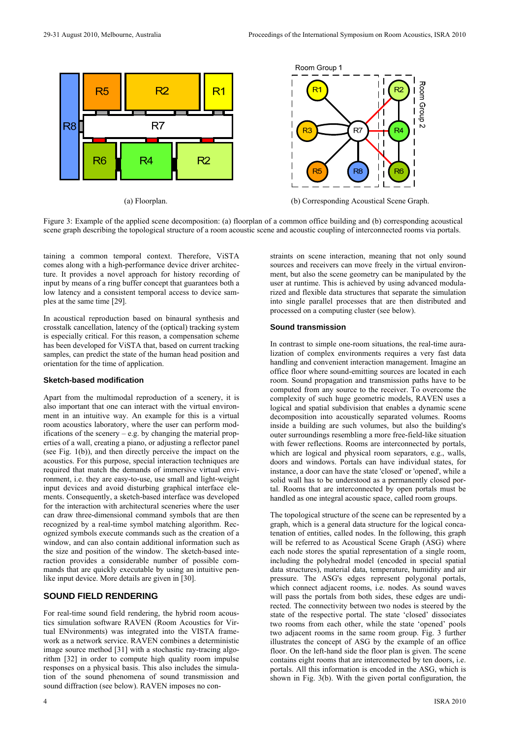



(a) Floorplan. (b) Corresponding Acoustical Scene Graph.

Figure 3: Example of the applied scene decomposition: (a) floorplan of a common office building and (b) corresponding acoustical scene graph describing the topological structure of a room acoustic scene and acoustic coupling of interconnected rooms via portals.

taining a common temporal context. Therefore, ViSTA comes along with a high-performance device driver architecture. It provides a novel approach for history recording of input by means of a ring buffer concept that guarantees both a low latency and a consistent temporal access to device samples at the same time [29].

In acoustical reproduction based on binaural synthesis and crosstalk cancellation, latency of the (optical) tracking system is especially critical. For this reason, a compensation scheme has been developed for ViSTA that, based on current tracking samples, can predict the state of the human head position and orientation for the time of application.

#### **Sketch-based modification**

Apart from the multimodal reproduction of a scenery, it is also important that one can interact with the virtual environment in an intuitive way. An example for this is a virtual room acoustics laboratory, where the user can perform modifications of the scenery  $-$  e.g. by changing the material properties of a wall, creating a piano, or adjusting a reflector panel (see Fig. 1(b)), and then directly perceive the impact on the acoustics. For this purpose, special interaction techniques are required that match the demands of immersive virtual environment, i.e. they are easy-to-use, use small and light-weight input devices and avoid disturbing graphical interface elements. Consequently, a sketch-based interface was developed for the interaction with architectural sceneries where the user can draw three-dimensional command symbols that are then recognized by a real-time symbol matching algorithm. Recognized symbols execute commands such as the creation of a window, and can also contain additional information such as the size and position of the window. The sketch-based interaction provides a considerable number of possible commands that are quickly executable by using an intuitive penlike input device. More details are given in [30].

## **SOUND FIELD RENDERING**

For real-time sound field rendering, the hybrid room acoustics simulation software RAVEN (Room Acoustics for Virtual ENvironments) was integrated into the VISTA framework as a network service. RAVEN combines a deterministic image source method [31] with a stochastic ray-tracing algorithm [32] in order to compute high quality room impulse responses on a physical basis. This also includes the simulation of the sound phenomena of sound transmission and sound diffraction (see below). RAVEN imposes no con-

straints on scene interaction, meaning that not only sound sources and receivers can move freely in the virtual environment, but also the scene geometry can be manipulated by the user at runtime. This is achieved by using advanced modularized and flexible data structures that separate the simulation into single parallel processes that are then distributed and processed on a computing cluster (see below).

#### **Sound transmission**

In contrast to simple one-room situations, the real-time auralization of complex environments requires a very fast data handling and convenient interaction management. Imagine an office floor where sound-emitting sources are located in each room. Sound propagation and transmission paths have to be computed from any source to the receiver. To overcome the complexity of such huge geometric models, RAVEN uses a logical and spatial subdivision that enables a dynamic scene decomposition into acoustically separated volumes. Rooms inside a building are such volumes, but also the building's outer surroundings resembling a more free-field-like situation with fewer reflections. Rooms are interconnected by portals, which are logical and physical room separators, e.g., walls, doors and windows. Portals can have individual states, for instance, a door can have the state 'closed' or 'opened', while a solid wall has to be understood as a permanently closed portal. Rooms that are interconnected by open portals must be handled as one integral acoustic space, called room groups.

The topological structure of the scene can be represented by a graph, which is a general data structure for the logical concatenation of entities, called nodes. In the following, this graph will be referred to as Acoustical Scene Graph (ASG) where each node stores the spatial representation of a single room, including the polyhedral model (encoded in special spatial data structures), material data, temperature, humidity and air pressure. The ASG's edges represent polygonal portals, which connect adjacent rooms, i.e. nodes. As sound waves will pass the portals from both sides, these edges are undirected. The connectivity between two nodes is steered by the state of the respective portal. The state 'closed' dissociates two rooms from each other, while the state 'opened' pools two adjacent rooms in the same room group. Fig. 3 further illustrates the concept of ASG by the example of an office floor. On the left-hand side the floor plan is given. The scene contains eight rooms that are interconnected by ten doors, i.e. portals. All this information is encoded in the ASG, which is shown in Fig. 3(b). With the given portal configuration, the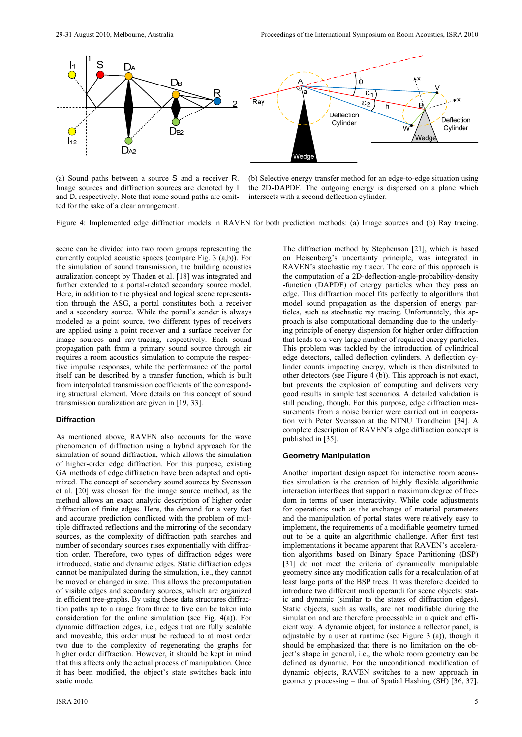

(a) Sound paths between a source S and a receiver R. Image sources and diffraction sources are denoted by I and D, respectively. Note that some sound paths are omitted for the sake of a clear arrangement.

(b) Selective energy transfer method for an edge-to-edge situation using the 2D-DAPDF. The outgoing energy is dispersed on a plane which intersects with a second deflection cylinder.

Figure 4: Implemented edge diffraction models in RAVEN for both prediction methods: (a) Image sources and (b) Ray tracing.

scene can be divided into two room groups representing the currently coupled acoustic spaces (compare Fig. 3 (a,b)). For the simulation of sound transmission, the building acoustics auralization concept by Thaden et al. [18] was integrated and further extended to a portal-related secondary source model. Here, in addition to the physical and logical scene representation through the ASG, a portal constitutes both, a receiver and a secondary source. While the portal's sender is always modeled as a point source, two different types of receivers are applied using a point receiver and a surface receiver for image sources and ray-tracing, respectively. Each sound propagation path from a primary sound source through air requires a room acoustics simulation to compute the respective impulse responses, while the performance of the portal itself can be described by a transfer function, which is built from interpolated transmission coefficients of the corresponding structural element. More details on this concept of sound transmission auralization are given in [19, 33].

#### **Diffraction**

As mentioned above, RAVEN also accounts for the wave phenomenon of diffraction using a hybrid approach for the simulation of sound diffraction, which allows the simulation of higher-order edge diffraction. For this purpose, existing GA methods of edge diffraction have been adapted and optimized. The concept of secondary sound sources by Svensson et al. [20] was chosen for the image source method, as the method allows an exact analytic description of higher order diffraction of finite edges. Here, the demand for a very fast and accurate prediction conflicted with the problem of multiple diffracted reflections and the mirroring of the secondary sources, as the complexity of diffraction path searches and number of secondary sources rises exponentially with diffraction order. Therefore, two types of diffraction edges were introduced, static and dynamic edges. Static diffraction edges cannot be manipulated during the simulation, i.e., they cannot be moved or changed in size. This allows the precomputation of visible edges and secondary sources, which are organized in efficient tree-graphs. By using these data structures diffraction paths up to a range from three to five can be taken into consideration for the online simulation (see Fig. 4(a)). For dynamic diffraction edges, i.e., edges that are fully scalable and moveable, this order must be reduced to at most order two due to the complexity of regenerating the graphs for higher order diffraction. However, it should be kept in mind that this affects only the actual process of manipulation. Once it has been modified, the object's state switches back into static mode.

The diffraction method by Stephenson [21], which is based on Heisenberg's uncertainty principle, was integrated in RAVEN's stochastic ray tracer. The core of this approach is the computation of a 2D-deflection-angle-probability-density -function (DAPDF) of energy particles when they pass an edge. This diffraction model fits perfectly to algorithms that model sound propagation as the dispersion of energy particles, such as stochastic ray tracing. Unfortunately, this approach is also computational demanding due to the underlying principle of energy dispersion for higher order diffraction that leads to a very large number of required energy particles. This problem was tackled by the introduction of cylindrical edge detectors, called deflection cylinders. A deflection cylinder counts impacting energy, which is then distributed to other detectors (see Figure 4 (b)). This approach is not exact, but prevents the explosion of computing and delivers very good results in simple test scenarios. A detailed validation is still pending, though. For this purpose, edge diffraction measurements from a noise barrier were carried out in cooperation with Peter Svensson at the NTNU Trondheim [34]. A complete description of RAVEN's edge diffraction concept is published in [35].

#### **Geometry Manipulation**

Another important design aspect for interactive room acoustics simulation is the creation of highly flexible algorithmic interaction interfaces that support a maximum degree of freedom in terms of user interactivity. While code adjustments for operations such as the exchange of material parameters and the manipulation of portal states were relatively easy to implement, the requirements of a modifiable geometry turned out to be a quite an algorithmic challenge. After first test implementations it became apparent that RAVEN's acceleration algorithms based on Binary Space Partitioning (BSP) [31] do not meet the criteria of dynamically manipulable geometry since any modification calls for a recalculation of at least large parts of the BSP trees. It was therefore decided to introduce two different modi operandi for scene objects: static and dynamic (similar to the states of diffraction edges). Static objects, such as walls, are not modifiable during the simulation and are therefore processable in a quick and efficient way. A dynamic object, for instance a reflector panel, is adjustable by a user at runtime (see Figure 3 (a)), though it should be emphasized that there is no limitation on the object's shape in general, i.e., the whole room geometry can be defined as dynamic. For the unconditioned modification of dynamic objects, RAVEN switches to a new approach in geometry processing – that of Spatial Hashing (SH) [36, 37].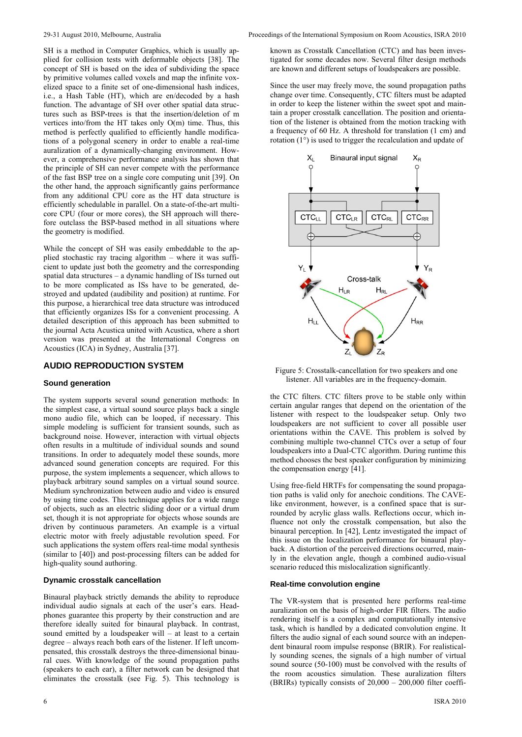SH is a method in Computer Graphics, which is usually applied for collision tests with deformable objects [38]. The concept of SH is based on the idea of subdividing the space by primitive volumes called voxels and map the infinite voxelized space to a finite set of one-dimensional hash indices, i.e., a Hash Table (HT), which are en/decoded by a hash function. The advantage of SH over other spatial data structures such as BSP-trees is that the insertion/deletion of m vertices into/from the HT takes only O(m) time. Thus, this method is perfectly qualified to efficiently handle modifications of a polygonal scenery in order to enable a real-time auralization of a dynamically-changing environment. However, a comprehensive performance analysis has shown that the principle of SH can never compete with the performance of the fast BSP tree on a single core computing unit [39]. On the other hand, the approach significantly gains performance from any additional CPU core as the HT data structure is efficiently schedulable in parallel. On a state-of-the-art multicore CPU (four or more cores), the SH approach will therefore outclass the BSP-based method in all situations where the geometry is modified.

While the concept of SH was easily embeddable to the applied stochastic ray tracing algorithm – where it was sufficient to update just both the geometry and the corresponding spatial data structures – a dynamic handling of ISs turned out to be more complicated as ISs have to be generated, destroyed and updated (audibility and position) at runtime. For this purpose, a hierarchical tree data structure was introduced that efficiently organizes ISs for a convenient processing. A detailed description of this approach has been submitted to the journal Acta Acustica united with Acustica, where a short version was presented at the International Congress on Acoustics (ICA) in Sydney, Australia [37].

## **AUDIO REPRODUCTION SYSTEM**

## **Sound generation**

The system supports several sound generation methods: In the simplest case, a virtual sound source plays back a single mono audio file, which can be looped, if necessary. This simple modeling is sufficient for transient sounds, such as background noise. However, interaction with virtual objects often results in a multitude of individual sounds and sound transitions. In order to adequately model these sounds, more advanced sound generation concepts are required. For this purpose, the system implements a sequencer, which allows to playback arbitrary sound samples on a virtual sound source. Medium synchronization between audio and video is ensured by using time codes. This technique applies for a wide range of objects, such as an electric sliding door or a virtual drum set, though it is not appropriate for objects whose sounds are driven by continuous parameters. An example is a virtual electric motor with freely adjustable revolution speed. For such applications the system offers real-time modal synthesis (similar to [40]) and post-processing filters can be added for high-quality sound authoring.

#### **Dynamic crosstalk cancellation**

Binaural playback strictly demands the ability to reproduce individual audio signals at each of the user's ears. Headphones guarantee this property by their construction and are therefore ideally suited for binaural playback. In contrast, sound emitted by a loudspeaker will – at least to a certain degree – always reach both ears of the listener. If left uncompensated, this crosstalk destroys the three-dimensional binaural cues. With knowledge of the sound propagation paths (speakers to each ear), a filter network can be designed that eliminates the crosstalk (see Fig. 5). This technology is

known as Crosstalk Cancellation (CTC) and has been investigated for some decades now. Several filter design methods are known and different setups of loudspeakers are possible.

Since the user may freely move, the sound propagation paths change over time. Consequently, CTC filters must be adapted in order to keep the listener within the sweet spot and maintain a proper crosstalk cancellation. The position and orientation of the listener is obtained from the motion tracking with a frequency of 60 Hz. A threshold for translation (1 cm) and rotation (1°) is used to trigger the recalculation and update of



Figure 5: Crosstalk-cancellation for two speakers and one listener. All variables are in the frequency-domain.

the CTC filters. CTC filters prove to be stable only within certain angular ranges that depend on the orientation of the listener with respect to the loudspeaker setup. Only two loudspeakers are not sufficient to cover all possible user orientations within the CAVE. This problem is solved by combining multiple two-channel CTCs over a setup of four loudspeakers into a Dual-CTC algorithm. During runtime this method chooses the best speaker configuration by minimizing the compensation energy [41].

Using free-field HRTFs for compensating the sound propagation paths is valid only for anechoic conditions. The CAVElike environment, however, is a confined space that is surrounded by acrylic glass walls. Reflections occur, which influence not only the crosstalk compensation, but also the binaural perception. In [42], Lentz investigated the impact of this issue on the localization performance for binaural playback. A distortion of the perceived directions occurred, mainly in the elevation angle, though a combined audio-visual scenario reduced this mislocalization significantly.

#### **Real-time convolution engine**

The VR-system that is presented here performs real-time auralization on the basis of high-order FIR filters. The audio rendering itself is a complex and computationally intensive task, which is handled by a dedicated convolution engine. It filters the audio signal of each sound source with an independent binaural room impulse response (BRIR). For realistically sounding scenes, the signals of a high number of virtual sound source (50-100) must be convolved with the results of the room acoustics simulation. These auralization filters (BRIRs) typically consists of 20,000 – 200,000 filter coeffi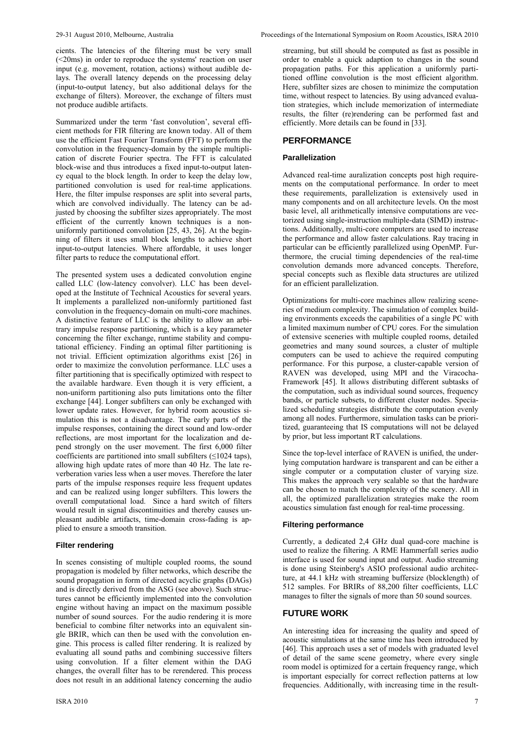cients. The latencies of the filtering must be very small (<20ms) in order to reproduce the systems' reaction on user input (e.g. movement, rotation, actions) without audible delays. The overall latency depends on the processing delay (input-to-output latency, but also additional delays for the exchange of filters). Moreover, the exchange of filters must not produce audible artifacts.

Summarized under the term 'fast convolution', several efficient methods for FIR filtering are known today. All of them use the efficient Fast Fourier Transform (FFT) to perform the convolution in the frequency-domain by the simple multiplication of discrete Fourier spectra. The FFT is calculated block-wise and thus introduces a fixed input-to-output latency equal to the block length. In order to keep the delay low, partitioned convolution is used for real-time applications. Here, the filter impulse responses are split into several parts, which are convolved individually. The latency can be adjusted by choosing the subfilter sizes appropriately. The most efficient of the currently known techniques is a nonuniformly partitioned convolution [25, 43, 26]. At the beginning of filters it uses small block lengths to achieve short input-to-output latencies. Where affordable, it uses longer filter parts to reduce the computational effort.

The presented system uses a dedicated convolution engine called LLC (low-latency convolver). LLC has been developed at the Institute of Technical Acoustics for several years. It implements a parallelized non-uniformly partitioned fast convolution in the frequency-domain on multi-core machines. A distinctive feature of LLC is the ability to allow an arbitrary impulse response partitioning, which is a key parameter concerning the filter exchange, runtime stability and computational efficiency. Finding an optimal filter partitioning is not trivial. Efficient optimization algorithms exist [26] in order to maximize the convolution performance. LLC uses a filter partitioning that is specifically optimized with respect to the available hardware. Even though it is very efficient, a non-uniform partitioning also puts limitations onto the filter exchange [44]. Longer subfilters can only be exchanged with lower update rates. However, for hybrid room acoustics simulation this is not a disadvantage. The early parts of the impulse responses, containing the direct sound and low-order reflections, are most important for the localization and depend strongly on the user movement. The first 6,000 filter coefficients are partitioned into small subfilters  $(\leq 1024 \text{ taps})$ , allowing high update rates of more than 40 Hz. The late reverberation varies less when a user moves. Therefore the later parts of the impulse responses require less frequent updates and can be realized using longer subfilters. This lowers the overall computational load. Since a hard switch of filters would result in signal discontinuities and thereby causes unpleasant audible artifacts, time-domain cross-fading is applied to ensure a smooth transition.

#### **Filter rendering**

In scenes consisting of multiple coupled rooms, the sound propagation is modeled by filter networks, which describe the sound propagation in form of directed acyclic graphs (DAGs) and is directly derived from the ASG (see above). Such structures cannot be efficiently implemented into the convolution engine without having an impact on the maximum possible number of sound sources. For the audio rendering it is more beneficial to combine filter networks into an equivalent single BRIR, which can then be used with the convolution engine. This process is called filter rendering. It is realized by evaluating all sound paths and combining successive filters using convolution. If a filter element within the DAG changes, the overall filter has to be rerendered. This process does not result in an additional latency concerning the audio streaming, but still should be computed as fast as possible in order to enable a quick adaption to changes in the sound propagation paths. For this application a uniformly partitioned offline convolution is the most efficient algorithm. Here, subfilter sizes are chosen to minimize the computation time, without respect to latencies. By using advanced evaluation strategies, which include memorization of intermediate results, the filter (re)rendering can be performed fast and efficiently. More details can be found in [33].

#### **PERFORMANCE**

#### **Parallelization**

Advanced real-time auralization concepts post high requirements on the computational performance. In order to meet these requirements, parallelization is extensively used in many components and on all architecture levels. On the most basic level, all arithmetically intensive computations are vectorized using single-instruction multiple-data (SIMD) instructions. Additionally, multi-core computers are used to increase the performance and allow faster calculations. Ray tracing in particular can be efficiently parallelized using OpenMP. Furthermore, the crucial timing dependencies of the real-time convolution demands more advanced concepts. Therefore, special concepts such as flexible data structures are utilized for an efficient parallelization.

Optimizations for multi-core machines allow realizing sceneries of medium complexity. The simulation of complex building environments exceeds the capabilities of a single PC with a limited maximum number of CPU cores. For the simulation of extensive sceneries with multiple coupled rooms, detailed geometries and many sound sources, a cluster of multiple computers can be used to achieve the required computing performance. For this purpose, a cluster-capable version of RAVEN was developed, using MPI and the Viracocha-Framework [45]. It allows distributing different subtasks of the computation, such as individual sound sources, frequency bands, or particle subsets, to different cluster nodes. Specialized scheduling strategies distribute the computation evenly among all nodes. Furthermore, simulation tasks can be prioritized, guaranteeing that IS computations will not be delayed by prior, but less important RT calculations.

Since the top-level interface of RAVEN is unified, the underlying computation hardware is transparent and can be either a single computer or a computation cluster of varying size. This makes the approach very scalable so that the hardware can be chosen to match the complexity of the scenery. All in all, the optimized parallelization strategies make the room acoustics simulation fast enough for real-time processing.

#### **Filtering performance**

Currently, a dedicated 2,4 GHz dual quad-core machine is used to realize the filtering. A RME Hammerfall series audio interface is used for sound input and output. Audio streaming is done using Steinberg's ASIO professional audio architecture, at 44.1 kHz with streaming buffersize (blocklength) of 512 samples. For BRIRs of 88,200 filter coefficients, LLC manages to filter the signals of more than 50 sound sources.

#### **FUTURE WORK**

An interesting idea for increasing the quality and speed of acoustic simulations at the same time has been introduced by [46]. This approach uses a set of models with graduated level of detail of the same scene geometry, where every single room model is optimized for a certain frequency range, which is important especially for correct reflection patterns at low frequencies. Additionally, with increasing time in the result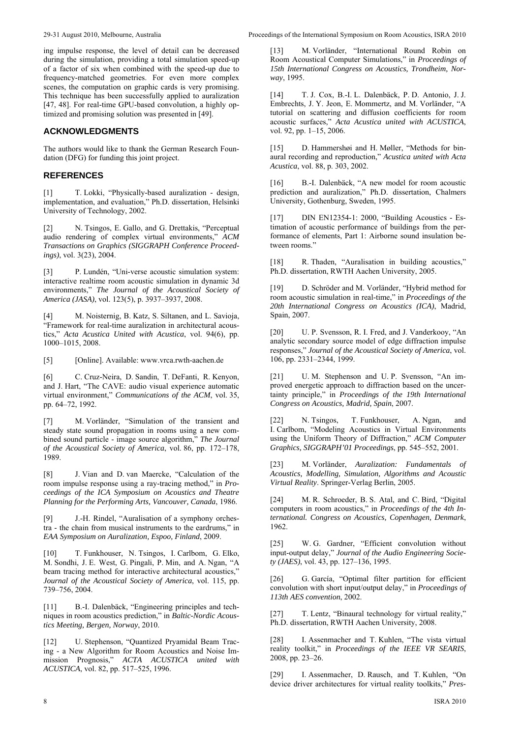ing impulse response, the level of detail can be decreased during the simulation, providing a total simulation speed-up of a factor of six when combined with the speed-up due to frequency-matched geometries. For even more complex scenes, the computation on graphic cards is very promising. This technique has been successfully applied to auralization [47, 48]. For real-time GPU-based convolution, a highly optimized and promising solution was presented in [49].

## **ACKNOWLEDGMENTS**

The authors would like to thank the German Research Foundation (DFG) for funding this joint project.

## **REFERENCES**

[1] T. Lokki, "Physically-based auralization - design, implementation, and evaluation," Ph.D. dissertation, Helsinki University of Technology, 2002.

[2] N. Tsingos, E. Gallo, and G. Drettakis, "Perceptual audio rendering of complex virtual environments," *ACM Transactions on Graphics (SIGGRAPH Conference Proceedings)*, vol. 3(23), 2004.

[3] P. Lundén, "Uni-verse acoustic simulation system: interactive realtime room acoustic simulation in dynamic 3d environments," *The Journal of the Acoustical Society of America (JASA)*, vol. 123(5), p. 3937–3937, 2008.

[4] M. Noisternig, B. Katz, S. Siltanen, and L. Savioja, "Framework for real-time auralization in architectural acoustics," *Acta Acustica United with Acustica*, vol. 94(6), pp. 1000–1015, 2008.

[5] [Online]. Available: www.vrca.rwth-aachen.de

[6] C. Cruz-Neira, D. Sandin, T. DeFanti, R. Kenyon, and J. Hart, "The CAVE: audio visual experience automatic virtual environment," *Communications of the ACM*, vol. 35, pp. 64–72, 1992.

[7] M. Vorländer, "Simulation of the transient and steady state sound propagation in rooms using a new combined sound particle - image source algorithm," *The Journal of the Acoustical Society of America*, vol. 86, pp. 172–178, 1989.

[8] J. Vian and D. van Maercke, "Calculation of the room impulse response using a ray-tracing method," in *Proceedings of the ICA Symposium on Acoustics and Theatre Planning for the Performing Arts, Vancouver, Canada*, 1986.

[9] J.-H. Rindel, "Auralisation of a symphony orchestra - the chain from musical instruments to the eardrums," in *EAA Symposium on Auralization, Espoo, Finland*, 2009.

[10] T. Funkhouser, N. Tsingos, I. Carlbom, G. Elko, M. Sondhi, J. E. West, G. Pingali, P. Min, and A. Ngan, "A beam tracing method for interactive architectural acoustics," *Journal of the Acoustical Society of America*, vol. 115, pp. 739–756, 2004.

[11] B.-I. Dalenbäck, "Engineering principles and techniques in room acoustics prediction," in *Baltic-Nordic Acoustics Meeting, Bergen, Norway*, 2010.

[12] U. Stephenson, "Quantized Pryamidal Beam Tracing - a New Algorithm for Room Acoustics and Noise Immission Prognosis," *ACTA ACUSTICA united with ACUSTICA*, vol. 82, pp. 517–525, 1996.

[13] M. Vorländer, "International Round Robin on Room Acoustical Computer Simulations," in *Proceedings of 15th International Congress on Acoustics, Trondheim, Norway*, 1995.

[14] T. J. Cox, B.-I. L. Dalenbäck, P. D. Antonio, J. J. Embrechts, J. Y. Jeon, E. Mommertz, and M. Vorländer, "A tutorial on scattering and diffusion coefficients for room acoustic surfaces," *Acta Acustica united with ACUSTICA*, vol. 92, pp. 1–15, 2006.

[15] D. Hammershøi and H. Møller, "Methods for binaural recording and reproduction," *Acustica united with Acta Acustica*, vol. 88, p. 303, 2002.

[16] B.-I. Dalenbäck, "A new model for room acoustic prediction and auralization," Ph.D. dissertation, Chalmers University, Gothenburg, Sweden, 1995.

[17] DIN EN12354-1: 2000, "Building Acoustics - Estimation of acoustic performance of buildings from the performance of elements, Part 1: Airborne sound insulation between rooms."

[18] R. Thaden, "Auralisation in building acoustics," Ph.D. dissertation, RWTH Aachen University, 2005.

[19] D. Schröder and M. Vorländer, "Hybrid method for room acoustic simulation in real-time," in *Proceedings of the 20th International Congress on Acoustics (ICA)*, Madrid, Spain, 2007.

[20] U. P. Svensson, R. I. Fred, and J. Vanderkooy, "An analytic secondary source model of edge diffraction impulse responses," *Journal of the Acoustical Society of America*, vol. 106, pp. 2331–2344, 1999.

[21] U. M. Stephenson and U. P. Svensson, "An improved energetic approach to diffraction based on the uncertainty principle," in *Proceedings of the 19th International Congress on Acoustics, Madrid, Spain*, 2007.

[22] N. Tsingos, T. Funkhouser, A. Ngan, and I. Carlbom, "Modeling Acoustics in Virtual Environments using the Uniform Theory of Diffraction," *ACM Computer Graphics, SIGGRAPH'01 Proceedings*, pp. 545–552, 2001.

[23] M. Vorländer, *Auralization: Fundamentals of Acoustics, Modelling, Simulation, Algorithms and Acoustic Virtual Reality*. Springer-Verlag Berlin, 2005.

[24] M. R. Schroeder, B. S. Atal, and C. Bird, "Digital computers in room acoustics," in *Proceedings of the 4th International. Congress on Acoustics, Copenhagen, Denmark*, 1962.

[25] W. G. Gardner, "Efficient convolution without input-output delay," *Journal of the Audio Engineering Society (JAES)*, vol. 43, pp. 127–136, 1995.

[26] G. García, "Optimal filter partition for efficient convolution with short input/output delay," in *Proceedings of 113th AES convention*, 2002.

[27] T. Lentz, "Binaural technology for virtual reality," Ph.D. dissertation, RWTH Aachen University, 2008.

[28] I. Assenmacher and T. Kuhlen, "The vista virtual reality toolkit," in *Proceedings of the IEEE VR SEARIS*, 2008, pp. 23–26.

[29] I. Assenmacher, D. Rausch, and T. Kuhlen, "On device driver architectures for virtual reality toolkits," *Pres-*